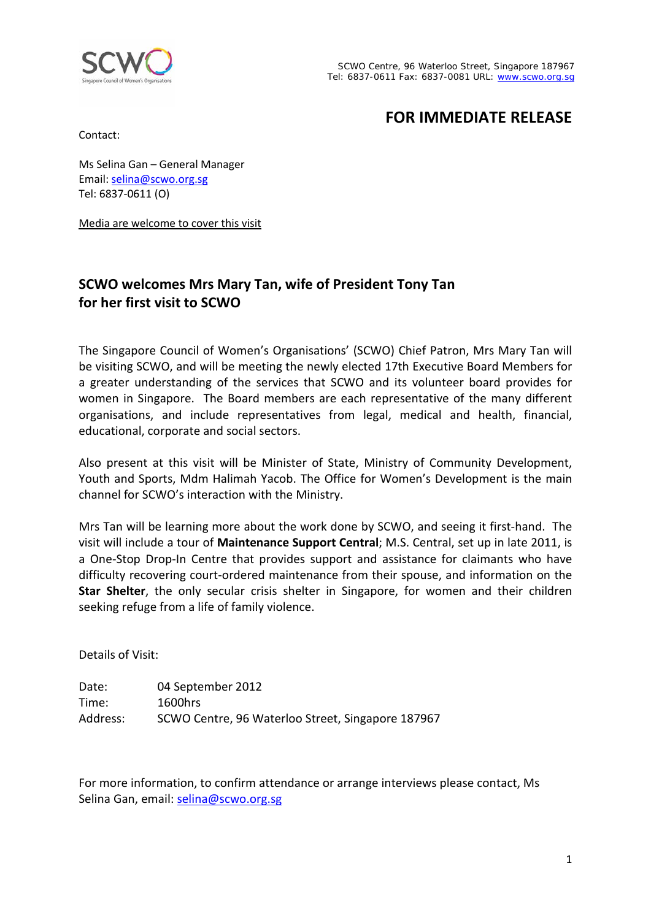

# **FOR IMMEDIATE RELEASE**

Contact:

Ms Selina Gan – General Manager Email: [selina@scwo.org.sg](mailto:selina@scwo.org.sg) Tel: 6837-0611 (O)

Media are welcome to cover this visit

## **SCWO welcomes Mrs Mary Tan, wife of President Tony Tan for her first visit to SCWO**

The Singapore Council of Women's Organisations' (SCWO) Chief Patron, Mrs Mary Tan will be visiting SCWO, and will be meeting the newly elected 17th Executive Board Members for a greater understanding of the services that SCWO and its volunteer board provides for women in Singapore. The Board members are each representative of the many different organisations, and include representatives from legal, medical and health, financial, educational, corporate and social sectors.

Also present at this visit will be Minister of State, Ministry of Community Development, Youth and Sports, Mdm Halimah Yacob. The Office for Women's Development is the main channel for SCWO's interaction with the Ministry.

Mrs Tan will be learning more about the work done by SCWO, and seeing it first-hand. The visit will include a tour of **Maintenance Support Central**; M.S. Central, set up in late 2011, is a One-Stop Drop-In Centre that provides support and assistance for claimants who have difficulty recovering court-ordered maintenance from their spouse, and information on the **Star Shelter**, the only secular crisis shelter in Singapore, for women and their children seeking refuge from a life of family violence.

Details of Visit:

Date: 04 September 2012 Time: 1600hrs Address: SCWO Centre, 96 Waterloo Street, Singapore 187967

For more information, to confirm attendance or arrange interviews please contact, Ms Selina Gan, email: [selina@scwo.org.sg](mailto:selina@scwo.org.sg)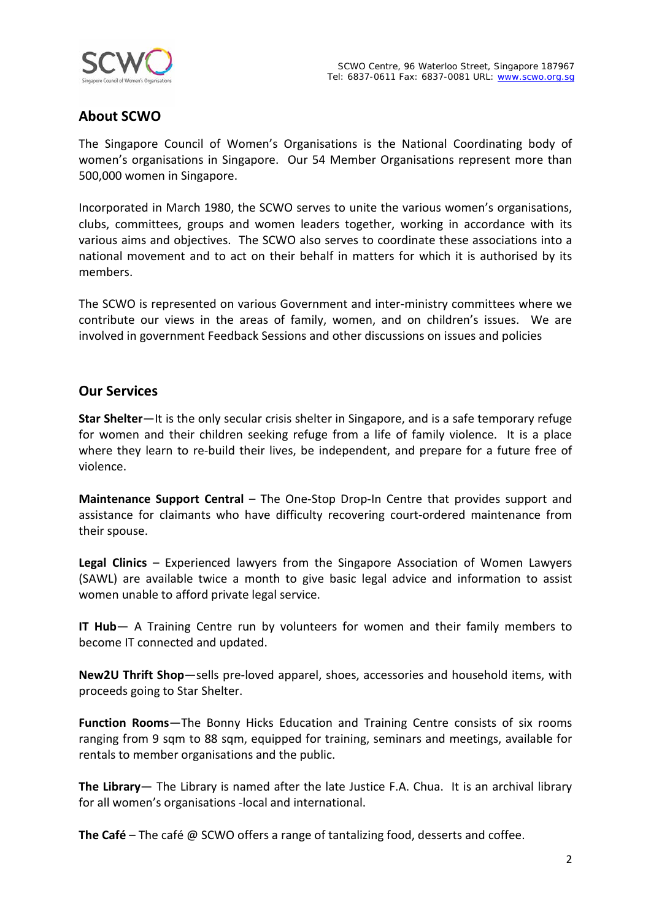



### **About SCWO**

The Singapore Council of Women's Organisations is the National Coordinating body of women's organisations in Singapore. Our 54 Member Organisations represent more than 500,000 women in Singapore.

Incorporated in March 1980, the SCWO serves to unite the various women's organisations, clubs, committees, groups and women leaders together, working in accordance with its various aims and objectives. The SCWO also serves to coordinate these associations into a national movement and to act on their behalf in matters for which it is authorised by its members.

The SCWO is represented on various Government and inter-ministry committees where we contribute our views in the areas of family, women, and on children's issues. We are involved in government Feedback Sessions and other discussions on issues and policies

#### **Our Services**

**Star Shelter**—It is the only secular crisis shelter in Singapore, and is a safe temporary refuge for women and their children seeking refuge from a life of family violence. It is a place where they learn to re-build their lives, be independent, and prepare for a future free of violence.

**Maintenance Support Central** – The One-Stop Drop-In Centre that provides support and assistance for claimants who have difficulty recovering court-ordered maintenance from their spouse.

**Legal Clinics** – Experienced lawyers from the Singapore Association of Women Lawyers (SAWL) are available twice a month to give basic legal advice and information to assist women unable to afford private legal service.

**IT Hub**— A Training Centre run by volunteers for women and their family members to become IT connected and updated.

**New2U Thrift Shop**—sells pre-loved apparel, shoes, accessories and household items, with proceeds going to Star Shelter.

**Function Rooms**—The Bonny Hicks Education and Training Centre consists of six rooms ranging from 9 sqm to 88 sqm, equipped for training, seminars and meetings, available for rentals to member organisations and the public.

**The Library**— The Library is named after the late Justice F.A. Chua. It is an archival library for all women's organisations -local and international.

**The Café** – The café @ SCWO offers a range of tantalizing food, desserts and coffee.